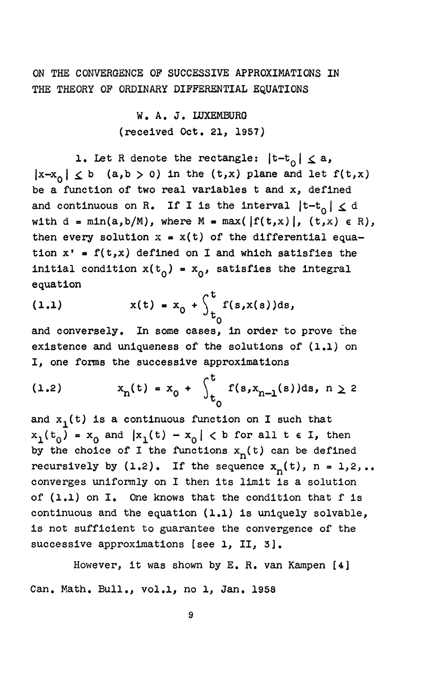ON THE CONVERGENCE OP SUCCESSIVE APPROXIMATIONS IN THE THEORY OF ORDINARY DIFFERENTIAL EQUATIONS

> W. A. J. LUXEMBURG (received Oct. 21, 1957)

1. Let R denote the rectangle:  $|t-t_0| \le a$ ,  $|x-x_0| \leq b$  (a,b > 0) in the (t,x) plane and let  $f(t,x)$ be a function of two real variables t and x, defined and continuous on R. If I is the interval  $|t-t_0| \le d$ with  $d = min(a,b/M)$ , where  $M = max(|f(t,x)|, (t,x) \in R)$ , then every solution  $x = x(t)$  of the differential equation  $x' = f(t,x)$  defined on I and which satisfies the initial condition  $x(t_0) = x_0$ , satisfies the integral equation

(1.1) 
$$
x(t) = x_0 + \int_{t_0}^{t} f(s, x(s)) ds,
$$

and conversely. In some cases, in order to prove the existence and uniqueness of the solutions of (1.1) on I, one forms the successive approximations

(1.2) 
$$
x_n(t) = x_0 + \int_{t_0}^t f(s, x_{n-1}(s)) ds, n \ge 2
$$

and  $x_1(t)$  is a continuous function on I such that  $x_1(t_0) = x_0$  and  $|x_1(t) - x_0| < b$  for all tel, then by the choice of I the functions  $x_n(t)$  can be defined recursively by  $(1,2)$ . If the sequence  $x_n(t)$ ,  $n = 1,2,...$ converges uniformly on I then its limit is a solution of (1.1) on I. One knows that the condition that f is continuous and the equation (1.1) is uniquely solvable, is not sufficient to guarantee the convergence of the successive approximations [see 1, II, 3].

However, it was shown by E. R. van Kampen [4] Can. Math. Bull., vol.1, no 1, Jan. 1958

**9**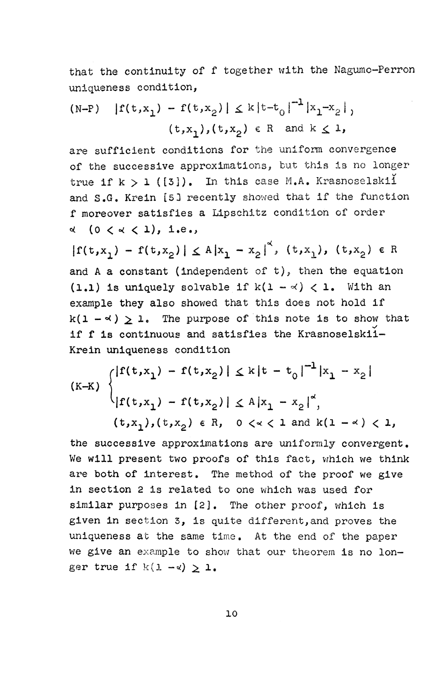that the continuity of f together with the Nagumo-Perron uniqueness condition,

(N-P) 
$$
|f(t,x_1) - f(t,x_2)| \le k |t-t_0|^{-1} |x_1-x_2|
$$
,  
\n $(t,x_1), (t,x_2) \in R$  and  $k \le 1$ ,

are sufficient conditions for the uniform convergence of the successive approximations, but this is no longer true if  $k > 1$  ([3]). In this case M.A. Krasnoselskii and S.G. Krein [5] recently showed that if the function f moreover satisfies a Lipschitz condition of order **<\* (0 <** *o(* **< i),** *i.e.,* 

 $|f(t,x_1) - f(t,x_2)| \leq A |x_1 - x_2|^2$ ,  $(t,x_1)$ ,  $(t,x_2) \in R$ and A a constant (independent of  $t$ ), then the equation (1.1) is uniquely solvable if  $k(1 - \alpha) < 1$ . With an example they also showed that this does not hold if  $k(1 - \alpha) > 1$ . The purpose of this note is to show that if f is continuous and satisfies the Krasnoselskii-Krein uniqueness condition

$$
(K-K) \begin{cases} |f(t,x_1) - f(t,x_2)| \le k|t - t_0|^{-1} |x_1 - x_2| \\ |f(t,x_1) - f(t,x_2)| \le A |x_1 - x_2|^{\alpha}, \\ (t,x_1), (t,x_2) \in R, \quad 0 \le k \le 1 \text{ and } k(1 - \alpha) < 1, \end{cases}
$$

the successive approximations are uniformly convergent. We will present two proofs of this fact, which we think are both of interest. The method of the proof we give in section 2 is related to one which was used for similar purposes in [2]. The other proof, which is given in section 3, is quite different,and proves the uniqueness at the same time. At the end of the paper we give an example to show that our theorem is no longer true if  $k(1 - \alpha) \geq 1$ .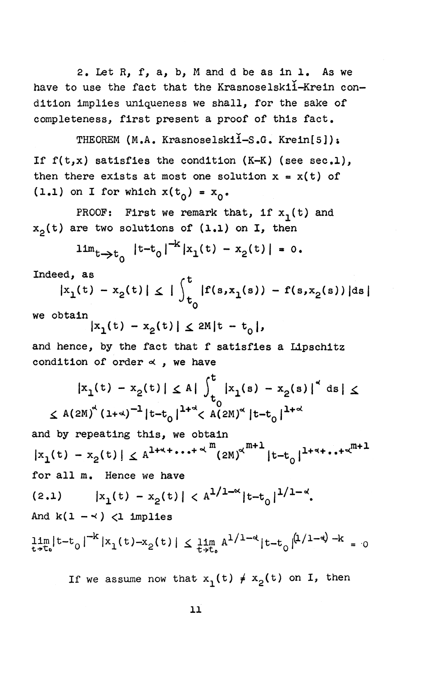2. Let R, f, a, b, M and d be as in 1, As we have to use the fact that the Krasnoselskii-Krein condition implies uniqueness we shall, for the sake of completeness, first present a proof of this fact.

THEOREM (M.A. Krasnoselskii-S.G. Krein[5]): If  $f(t,x)$  satisfies the condition  $(K-K)$  (see sec.1), then there exists at most one solution  $x = x(t)$  of (1.1) on I for which  $x(t_0) = x_0$ .

PROOF: First we remark that, if  $x_1(t)$  and  $x_0(t)$  are two solutions of (1.1) on I, then

$$
\lim_{t \to t_0} |t - t_0|^{-K} |x_1(t) - x_2(t)| = 0.
$$

Indeed, as  $\qquad \qquad \ldots$ 

$$
|x_1(t) - x_2(t)| \leq |\int_{t_0}^{t} |f(s, x_1(s)) - f(s, x_2(s))| ds|
$$

we obtain

$$
|x_1(t) - x_2(t)| \le 2M|t - t_0|,
$$

and hence, by the fact that f satisfies a Lipschitz condition of order  $\alpha$ , we have

$$
|x_1(t) - x_2(t)| \le A \int_0^t |x_1(s) - x_2(s)|^4 \, ds \le
$$
  

$$
\le A(2M)^4 (1+a)^{-1} |t-t_0|^{1+a} < A(2M)^4 |t-t_0|^{1+a}
$$

and by repeating this, we obtain  $|x_1(t) - x_2(t)| \le A^{1+1} \cdot \cdot \cdot + \cdot^{4}$   $\int (2M)^{4^{m+1}} |t-t_0|^{1+1} \cdot \cdot \cdot + \cdot^{4^{m+1}}$ for all m. Hence we have (2.1)  $|x_1(t) - x_2(t)| < A^{1/1 - \alpha} |t - t_0|^{1/1 - \alpha}$ . And  $k(1 - \gamma)$   $\langle$ 1 implies  $\lim_{t \to t_0} h^{(0)} = 0 + \lim_{t \to t_0} \frac{1}{t_0 + t_0}$ 

If we assume now that  $x^1(t) \neq x^2(t)$  on I, then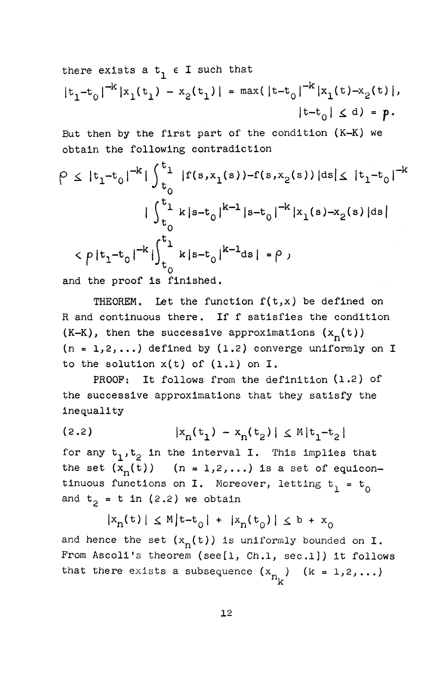there exists a  $t_1 \in I$  such that  $|t_1-t_0|^{-k}|x_1(t_1) - x_2(t_1)| = \max(|t-t_0|^{-k}|x_1(t)-x_2(t)|,$  $|t-t_{0}| \le d$  = p.

But then by the first part of the condition (K-K) we obtain the following contradiction

$$
\rho \leq |t_1 - t_0|^{-k} |\int_{t_0}^{t_1} |f(s, x_1(s)) - f(s, x_2(s))|ds| \leq |t_1 - t_0|^{-k}
$$
  
\n
$$
|\int_{t_0}^{t_1} k|s - t_0|^{k-1}|s - t_0|^{-k} |x_1(s) - x_2(s)|ds|
$$
  
\n
$$
< \rho |t_1 - t_0|^{-k} |\int_{t_0}^{t_1} k|s - t_0|^{k-1}ds| = \rho,
$$

and the proof is finished.

THEOREM. Let the function  $f(t,x)$  be defined on R and continuous there. If f satisfies the condition  $(K-K)$ , then the successive approximations  $(x_n(t))$  $(n = 1, 2, ...)$  defined by  $(1.2)$  converge uniformly on I to the solution  $x(t)$  of  $(1,1)$  on I.

PROOF: It follows from the definition (1.2) of the successive approximations that they satisfy the inequality

(2.2)  $|x_n(t_1) - x_n(t_2)| \leq M|t_1-t_2|$ 

for any  $t_1, t_2$  in the interval I. This implies that the set  $(x_n(t))$   $(n = 1,2,...)$  is a set of equicontinuous functions on I. Moreover, letting  $t_1 = t_0$ and  $t<sub>2</sub> = t in (2.2)$  we obtain

$$
|x_n(t)| \le M|t-t_0| + |x_n(t_0)| \le b + x_0
$$

and hence the set  $(x_n(t))$  is uniformly bounded on I. From Ascoli's theorem (see[1, Ch.1, sec.1]) it follows that there exists a subsequence  $(x_n)$   $(k = 1,2,...)$  $\mathbf{r}$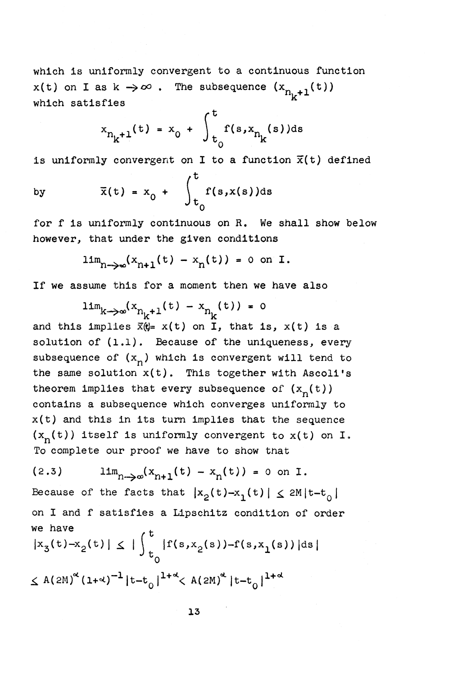which is uniformly convergent to a continuous function  $x(t)$  on I as  $k \to \infty$ . The subsequence  $(x_{n_k+1}(t))$ which satisfies

$$
x_{n_k+1}(t) = x_0 + \int_{t_0}^{t} f(s, x_{n_k}(s)) ds
$$

is uniformly convergent on I to a function  $\bar{x}(t)$  defined

by 
$$
\overline{x}(t) = x_0 + \int_{t_0}^{t} f(s, x(s))ds
$$

for **f is uniformly continuous on R. We shall show below however, that under the given conditions** 

$$
\lim_{n\to\infty}(x_{n+1}(t)-x_n(t))=0 \text{ on } I.
$$

**If** we assume this for a moment then we have also

 $\lim_{k \to \infty} (x_{n_k+1}(t) - x_{n_k}(t)) = 0$ and this implies  $\bar{x}(\theta = x(t))$  on I, that is,  $x(t)$  is a solution of (1.1). Because of the uniqueness, every solution of (1\*1), Because of the uniqueness, every  $s$  and  $s$  of  $\mathbf{w}$  and  $\mathbf{w}$  is convergent will tend to the same solution  $x(t)$ . This together with Ascoli's<br>theorem implies that every subsequence of  $(x_n(t))$ contains a subsequence which converges uniformly to  $x(t)$  and this in its turn implies that the sequence  $x(t)$  and this in its turn implies that the sequence  $(x - n)^2$  is under the uniformly convergent to  $x(y)$  on I. To complete our proof we have to show that

(2.3) 
$$
\lim_{n\to\infty} (x_{n+1}(t) - x_n(t)) = 0 \text{ on } I.
$$
 Because of the facts that  $|x_2(t) - x_1(t)| \le 2M|t-t_0|$  on I and f satisfies a Lipschitz condition of order we have  
 $|x_3(t) - x_2(t)| \le |\int_{t_0}^t |f(s, x_2(s)) - f(s, x_1(s))|ds|$   
 $\le A(2M)^{\alpha} (1+\alpha)^{-1} |t-t_0|^{1+\alpha} < A(2M)^{\alpha} |t-t_0|^{1+\alpha}$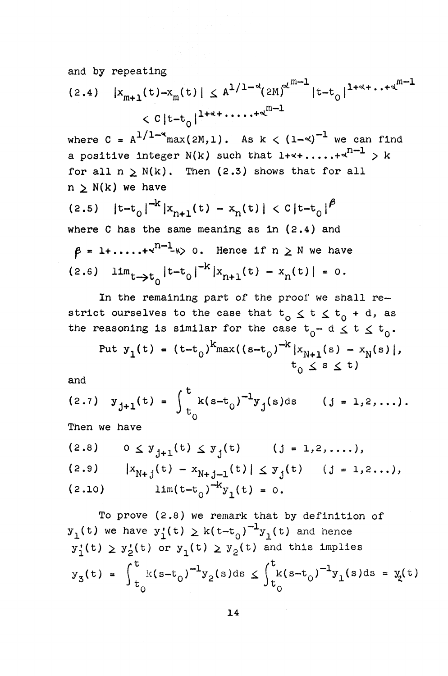and by repeating

$$
(2.4) |x_{m+1}(t) - x_m(t)| \le A^{1/1 - \alpha} (2M)^{\alpha^{m-1}} |t - t_0|^{1 + \alpha + \dots + \alpha^{m-1}}
$$
  
<  $C |t - t_0|^{1 + \alpha + \dots + \alpha^{m-1}}$ 

where  $C = A^{1/1-\alpha}$ max(2M,1). As  $k < (1-\alpha)^{-1}$  we can find a positive integer N(k) such that  $1+1+\cdots+1^{n-1} > k$ for all  $n > N(k)$ . Then (2.3) shows that for all  $n > N(k)$  we have

(2.5)  $|t-t_0|^{\frac{m}{m}} |x_{n+1}(t) - x_n(t)| < C|t-t_0|^{r}$ where C has the same meaning as in  $(2.4)$  and  $\beta = 1 + \ldots + x^{n-1}$   $\gg$  0. Hence if  $n \geq N$  we have  $(2.6)$   $\lim_{t \to \infty} |t-t_0|^{-K} |x_{n+1}(t) - x_n(t)| = 0.$ 

In the remaining part of the proof we shall restrict ourselves to the case that  $t_0 \leq t \leq t_0 + d$ , as the reasoning is similar for the case  $t_0 - d \leq t \leq t_0$ .

Put 
$$
y_1(t) = (t-t_0)^k \max((s-t_0)^{-k} |x_{N+1}(s) - x_N(s)|)
$$
,  
\t $t_0 \le s \le t$ )

and

(2.7) 
$$
y_{j+1}(t) = \int_{t_0}^{t} k(s-t_0)^{-1} y_j(s) ds
$$
 (j = 1,2,...).  
\nThen we have  
\n(2.8)  $0 \le y_{j+1}(t) \le y_j(t)$  (j = 1,2,...),  
\n(2.9)  $|x_{N+j}(t) - x_{N+j-1}(t)| \le y_j(t)$  (j = 1,2...),  
\n(2.10)  $lim(t-t_0)^{-k} y_1(t) = 0.$ 

To prove (2.8) we remark that by definition of  $y_1(t)$  we have  $y_1'(t) \ge k(t-t_0)^{-1}y_1(t)$  and hence  $y_1'(t) \ge y_2'(t)$  or  $y_1(t) \ge y_2(t)$  and this implies  $y_3(t) = \left( \frac{k(s-t_0)}{s} \right)^{-1} y_2(s) ds \leq \left( \frac{k(s-t_0)}{s} \right)^{-1} y_1(s) ds = y_3(t)$  $t_{\alpha}$   $\sigma$  *J* $t_{\alpha}$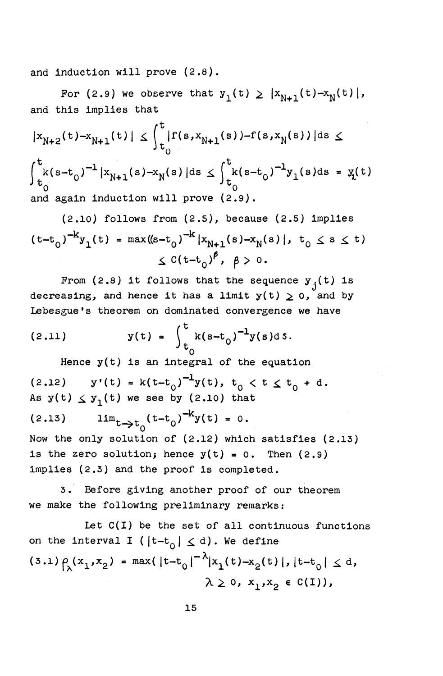and induction will prove (2.8).

For (2.9) we observe that  $y_1(t) \ge |x_{N+1}(t)-x_N(t)|$ , and this implies that

$$
|x_{N+2}(t) - x_{N+1}(t)| \le \int_{t_0}^{t} |f(s, x_{N+1}(s)) - f(s, x_N(s))| ds \le
$$
  

$$
\int_{t_0}^{t} k(s - t_0)^{-1} |x_{N+1}(s) - x_N(s)| ds \le \int_{t_0}^{t} k(s - t_0)^{-1} y_1(s) ds = y_1(t)
$$
  
and again induction will prove (2.9).

(2.10) follows from (2.5), because (2.5) implies  
\n
$$
(t-t_0)^{-k}y_1(t) = max((s-t_0)^{-k}|x_{N+1}(s)-x_N(s)|, t_0 \le s \le t)
$$
  
\n $\le C(t-t_0)^{\beta}, \beta > 0.$ 

From (2.8) it follows that the sequence  $y^{\dagger}_j(t)$  is decreasing, and hence it has a limit  $y(t) \geq 0$ , and by Lebesgue's theorem on dominated convergence we have

(2.11) 
$$
y(t) = \int_{t_0}^{t} k(s-t_0)^{-1} y(s) ds.
$$

Hence  $y(t)$  is an integral of the equation (2.12)  $y'(t) = k(t-t_0)^{-1}y(t), t_0 < t \le t_0 + d.$ As  $y(t) \leq y_1(t)$  we see by (2.10) that (2.13)  $\lim_{t \to t_0} (t-t_0)^{-n} y(t) = 0.$ Now the only solution of (2.12) which satisfies (2.13) is the zero solution; hence  $y(t) = 0$ . Then  $(2.9)$ implies (2.3) and the proof is completed.

3. Before giving another proof of our theorem we make the following preliminary remarks:

Let  $C(I)$  be the set of all continuous functions on the interval I ( $|t-t_0| \le d$ ). We define (3.1)  $\rho_{\lambda}(x_1,x_2) = \max(|t-t_0|^{-\lambda}|x_1(t)-x_2(t)|, |t-t_0| \le d,$  $\lambda \geq 0$ ,  $x_1, x_2 \in C(I)$ ,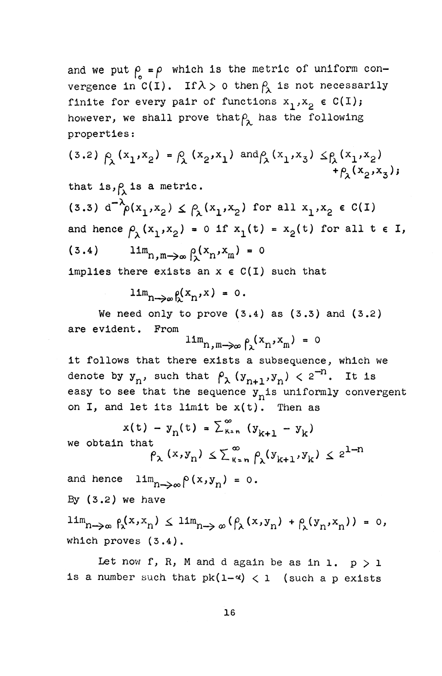and we put  $\rho = \rho$  which is the metric of uniform convergence in C(I). If  $\lambda > 0$  then  $\beta_{\lambda}$  is not necessarily finite for every pair of functions  $x_1^{},x_2^{}$   $\in C(I);$ however, we shall prove that  $\rho_{\lambda}$  has the following properties:

$$
(3.2) \rho_{\lambda}(x_1, x_2) = \rho_{\lambda}(x_2, x_1) \text{ and } \rho_{\lambda}(x_1, x_3) \leq \rho_{\lambda}(x_1, x_2) + \rho_{\lambda}(x_2, x_3);
$$

that is,  $\rho$  is a metric. (3.3)  $d^{-\lambda}\rho(x_1, x_2) \leq \rho_1(x_1, x_2)$  for all  $x_1, x_2 \in C(I)$ and hence  $\rho_{\chi}(x_1, x_2) = 0$  if  $x_1(t) = x_2(t)$  for all  $t \in I$ , (3.4)  $\lim_{n,m \to \infty} \beta(x_n, x_m) = 0$ implies there exists an  $x \in C(I)$  such that

$$
\lim_{n\to\infty}\rho(x_n,x)=0.
$$

We need only to prove  $(3:4)$  as  $(3.3)$  and  $(3.2)$ are evident. From

$$
\lim_{n,m\to\infty}\int_{\lambda}(x_n,x_m)=0
$$

it follows that there exists a subsequence, which we denote by  $y_n$ , such that  $\beta_\lambda$   $(y_{n+1}, y_n) < 2^{-n}$ . It is easy to see that the sequence  $y_n$  is uniformly convergent on I, and let its limit be  $x(t)$ . Then as

$$
x(t) - y_n(t) = \sum_{k=n}^{\infty} (y_{k+1} - y_k)
$$
  
we obtain that  

$$
\rho_{\lambda}(x, y_n) \le \sum_{k=n}^{\infty} \rho_{\lambda}(y_{k+1}, y_k) \le 2^{1-n}
$$

and hence  $\lim_{n\to\infty} \rho(x,y_n) = 0$ . By  $(3.2)$  we have

 $\lim_{n\to\infty} \int_{\lambda}^{x, x_n}$   $\leq \lim_{n\to\infty} (\int_{\lambda}^{x, y_n}) + \int_{\lambda}^{y_n} (y_n, x_n) ) = 0,$ which proves (3.4).

Let now f, R, M and d again be as in 1.  $p > 1$ is a number such that  $pk(1-\alpha) < 1$  (such a p exists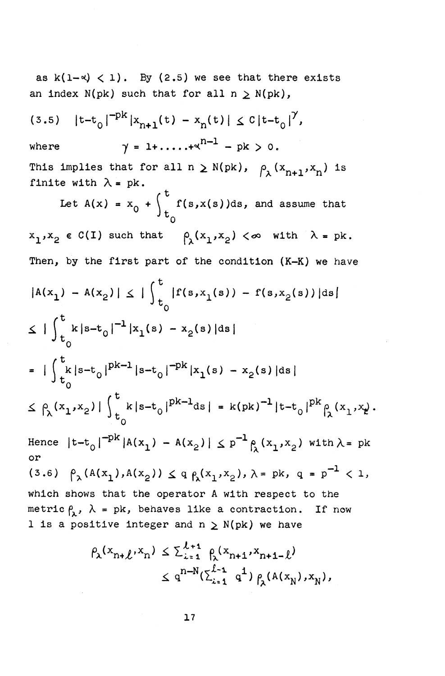as  $k(1-\alpha) < 1$ . By (2.5) we see that there exists an index  $N(pk)$  such that for all  $n \ge N(pk)$ ,

(3.5)  $|t-t_0|^{-pK} |x_{n+1}(t) - x_n(t)| \leq C |t-t_0|^{r},$ where  $\gamma = 1 + \dots + x^{n-1} - pk > 0$ . This implies that for all  $n \ge N(pk)$ ,  $\rho_{\lambda}(x_{n+1}, x_n)$  is finite with  $\lambda = pk$ . Let  $A(x) = x_0 + \int_a^b f(s,x(s))ds$ , and assume that  $\mathfrak{r}_0$  $x_1, x_2 \in C(I)$  such that  $\rho_\lambda(x_1, x_2) < \infty$  with  $\lambda = \mathrm{pk}$ . Then, by the first part of the condition (K-K) we have  $|A(x_1) - A(x_2)| \leq \int_{t_1}^{t} |f(s,x_1(s)) - f(s,x_2(s))|ds$  $\leq$  |  $\int_{0}^{3} k|s-t_0|^{-1}|x_1(s) - x_2(s)|ds|$  $=$   $|\int_{\mathbb{R}} k|s-t_0|^{pK-1}|s-t_0|^{-pK}|x_1(s) - x_2(s)|ds|$ **J t o**   $\leq \beta(x_1, x_2) | \int_{a}^{b} k |s-t_0|^{pk-1} ds = k(pk)^{-1} |t-t_0|^{pk} \beta(x_1, x_k).$ Hence  $|t-t_0|^{-pk}$   $|A(x_1) - A(x_2)| \leq p^{-1} \rho(x_1, x_2)$  with  $\lambda$  = pk or (3.6)  $\rho_1(A(x_1),A(x_2)) \leq q \rho_1(x_1,x_2), \lambda = pk, q = p^{-1} < 1,$ which shows that the operator A with respect to the metric  $\rho_{\lambda}$ ,  $\lambda$  = pk, behaves like a contraction. If now 1 is a positive integer and  $n \ge N(pk)$  we have

$$
\rho_{\lambda}(x_{n+\ell}, x_n) \leq \sum_{i=1}^{\ell+1} \rho_{\lambda}(x_{n+1}, x_{n+1-\ell})
$$
  

$$
\leq q^{n-N}(\sum_{i=1}^{\ell-1} q^{\ell}) \rho_{\lambda}(A(x_N), x_N),
$$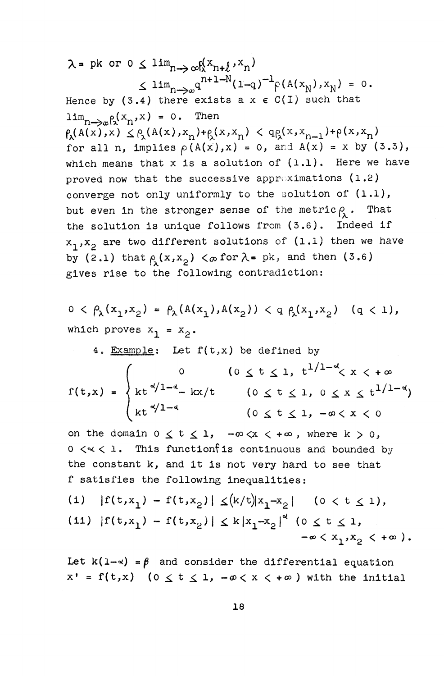$\lambda$  = pk or 0  $\leq$   $\lim_{n\to\infty} \log^{(x_{n+\ell}, x_n)}$  $\leq \lim_{n\to\infty} q^{n+1-N}(1-q)^{-1} \rho(A(x_N),x_N) = 0.$ <br>Hence by (3.4) there exists a x  $\epsilon$  C(I) such that  $n \rightarrow \infty$ k $n \cdot n$  $p_{\rm s}(A(x),x) \leq p_{\rm s}(A(x),x_n)+p_{\rm s}(x,x_n) < qp_{\rm s}(x,x_{n-1}) + p(x,x_n)$ for all n, implies  $\rho(A(x),x) = 0$ , and  $A(x) = x$  by  $(3.3)$ , which means that x is a solution of  $(1.1)$ . Here we have proved now that the successive approximations  $(1.2)$ converge not only uniformly to the solution of  $(1.1)$ , but even in the stronger sense of the metric  $\rho_{\lambda}$ . That the solution is unique follows from (3.6). Indeed if  $x_1, x_2$  are two different solutions of (1.1) then we have by (2.1) that  $\rho(s(x,x_2) < \infty$  for  $\lambda = \mathrm{pk}$ , and then (3.6) gives rise to the following contradiction:

$$
0 < \beta_{\lambda}(x_1, x_2) = \beta_{\lambda}(A(x_1), A(x_2)) < q \beta_{\lambda}(x_1, x_2) \quad (q < 1),
$$
\nwhich proves  $x_1 = x_2$ .

4. Example: Let  $f(t,x)$  be defined by

0  $(0 \le t \le 1, t^{1/1-\alpha} \le x < +\infty)$  $f(t,x) = \begin{cases} kt^{-\alpha/1 - \alpha} - kx/t & 0 \le t \le 1, & 0 \le x \le t^{1/1 - \alpha} \end{cases}$ kt<sup> $\alpha$ </sup>/<sup>1-4</sup> (0  $\leq$  t  $\leq$  1, - $\alpha$   $\lt$  x  $\lt$  0

on the domain  $0 \le t \le 1$ ,  $-\infty \le x < +\infty$ , where  $k > 0$ ,  $0 \le x \le 1$ . This function fis continuous and bounded by the constant k, and it is not very hard to see that f satisfies the following inequalities:

(1) 
$$
|f(t,x_1) - f(t,x_2)| \le (k/t)|x_1 - x_2|
$$
 (0 < t < 1),  
(11)  $|f(t,x_1) - f(t,x_2)| \le k|x_1 - x_2|^{\alpha}$  (0 < t < 1,  
 $-\infty < x_1, x_2 < +\infty$ ).

Let  $k(1-x) = \beta$  and consider the differential equation  $x' = f(t,x)$  (0  $\leq t \leq 1$ ,  $-\infty < x < +\infty$ ) with the initial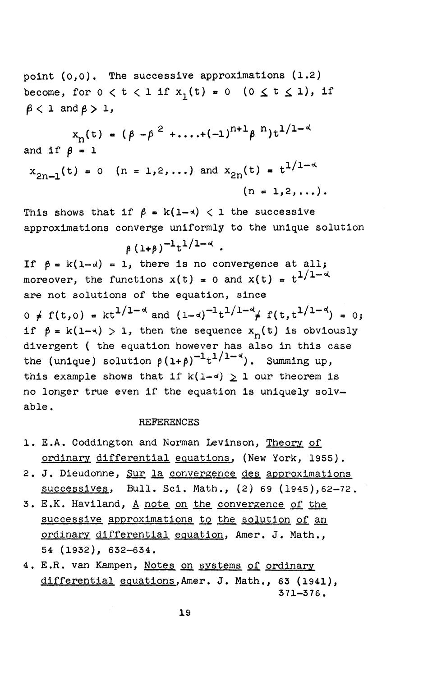point (0,0), The successive approximations (1.2) become, for  $0 < t < 1$  if  $x_1(t) = 0$  ( $0 \le t \le 1$ ), if  $\beta$  < 1 and  $\beta$  > 1,

$$
x_{n}(t) = (\beta - \beta^{2} + \dots + (-1)^{n+1} \beta^{n}) t^{1/1 - d}
$$
  
and if  $\beta = 1$   

$$
x_{2n-1}(t) = 0 \quad (n = 1, 2, \dots) \text{ and } x_{2n}(t) = t^{1/1 - d}
$$
  

$$
(n = 1, 2, \dots).
$$

This shows that if  $\beta = k(1-\alpha) < 1$  the successive approximations converge uniformly to the unique solution

 $(\lambda + \beta)^{-1} t^{1/1 - \alpha}$ .

If  $\beta = k(1-\alpha) = 1$ , there is no convergence at all; moreover, the functions  $x(t) = 0$  and  $x(t) = t^{1/1 - \alpha}$ are not solutions of the equation, since

 $0 \neq f(t,0) = kt^{1/1-\alpha}$  and  $(1-d)^{-1}t^{1/1-\alpha}$   $f(t,t^{1/1-\alpha}) = 0$ ; if  $\beta = k(1-\alpha) > 1$ , then the sequence  $x_n(t)$  is obviously divergent ( the equation however has also in this case the (unique) solution  $\beta(1+\beta)^{-1} t^{1/1-\alpha}$ ). Summing up, this example shows that if  $k(1-d) \geq 1$  our theorem is no longer true even if the equation is uniquely solvable .

## **REFERENCES**

- 1. E.A. Coddington and Norman Levinson, Theory of ordinary differential equations, (New York, 1955).
- 2. J. Dieudonne, Sur la convergence des approximations successives, Bull, Sci. Math., (2) 69 (1945),62-72.
- 3. E.K. Haviland, A note on the convergence of the successive approximations to the solution of an ordinary differential equation, Amer. J. Math., 54 (1932), 632-634.
- 4. E.R. van Kampen, Notes on systems of ordinary differential equations,Amer. J. Math., 63 (1941), 371-376.